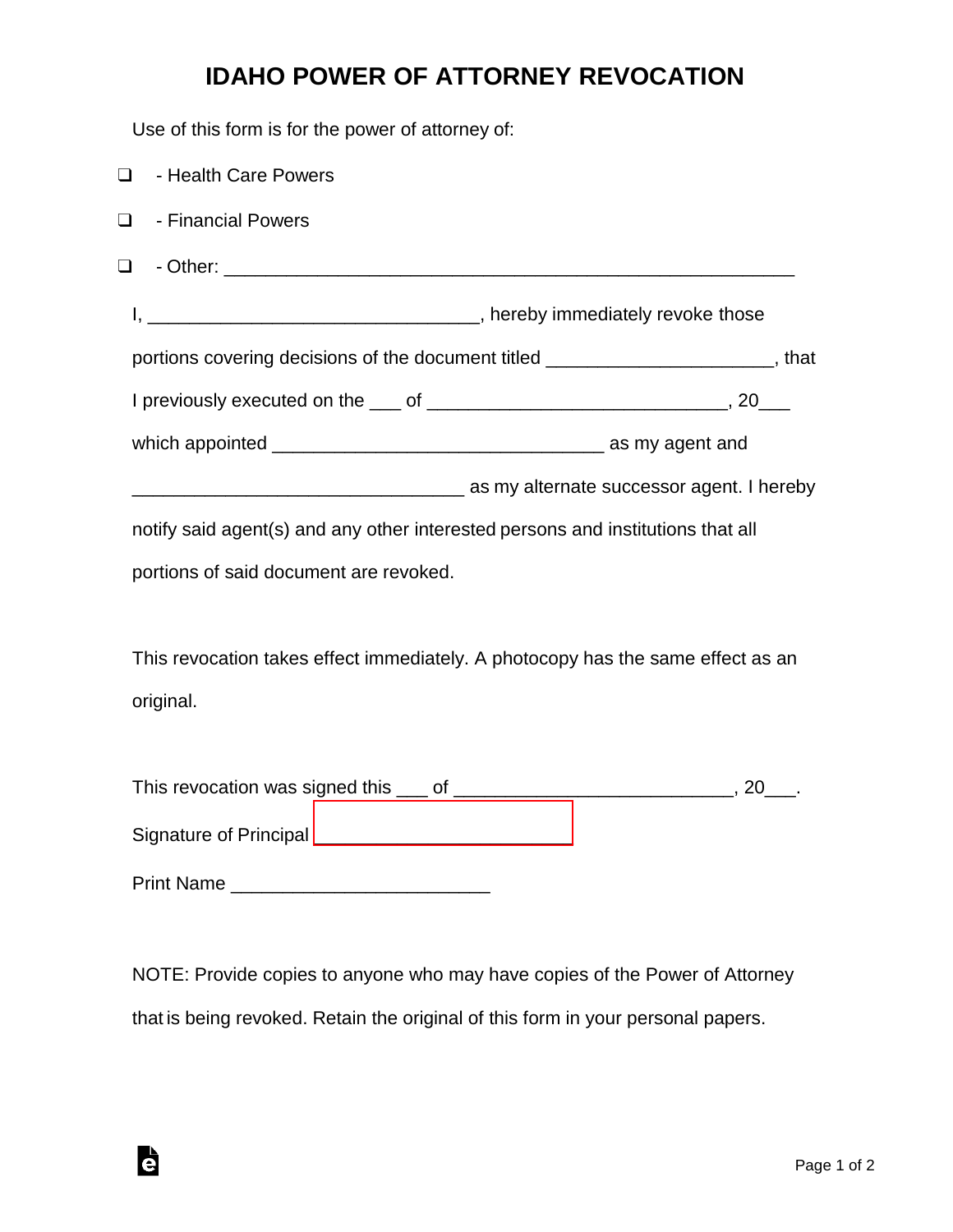## **IDAHO POWER OF ATTORNEY REVOCATION**

Use of this form is for the power of attorney of:

| $\Box$<br>- Health Care Powers                                                  |                                                                                   |
|---------------------------------------------------------------------------------|-----------------------------------------------------------------------------------|
| - Financial Powers<br>$\Box$                                                    |                                                                                   |
| $\Box$                                                                          |                                                                                   |
|                                                                                 |                                                                                   |
|                                                                                 | portions covering decisions of the document titled ________________________, that |
|                                                                                 |                                                                                   |
|                                                                                 |                                                                                   |
|                                                                                 | as my alternate successor agent. I hereby interface successor agent. I hereby     |
| notify said agent(s) and any other interested persons and institutions that all |                                                                                   |
| portions of said document are revoked.                                          |                                                                                   |
|                                                                                 |                                                                                   |
| This revocation takes effect immediately. A photocopy has the same effect as an |                                                                                   |
| original.                                                                       |                                                                                   |
|                                                                                 |                                                                                   |
|                                                                                 |                                                                                   |
| Signature of Principal _________________________________                        |                                                                                   |

Print Name \_\_\_\_\_\_\_\_\_\_\_\_\_\_\_\_\_\_\_\_\_\_\_\_\_

Ġ

NOTE: Provide copies to anyone who may have copies of the Power of Attorney that is being revoked. Retain the original of this form in your personal papers.